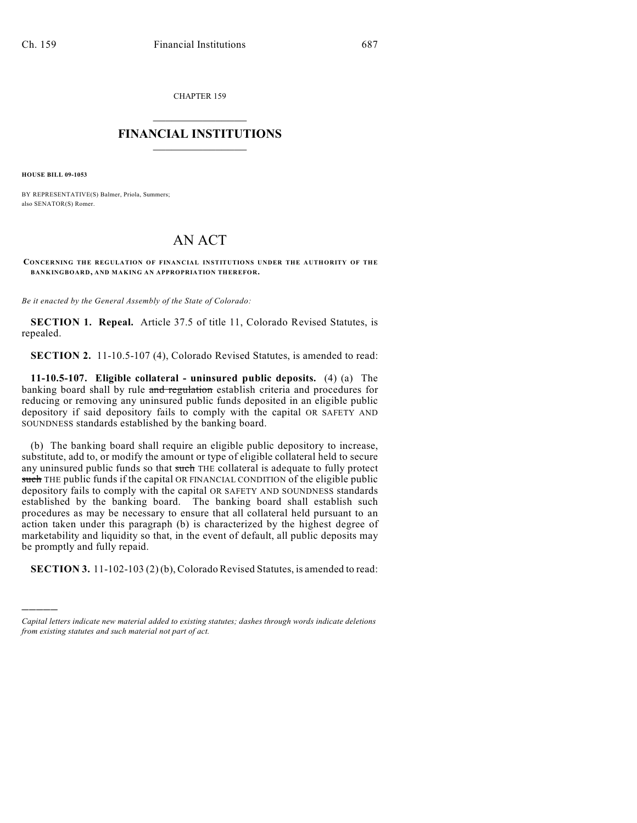CHAPTER 159

## $\mathcal{L}_\text{max}$  . The set of the set of the set of the set of the set of the set of the set of the set of the set of the set of the set of the set of the set of the set of the set of the set of the set of the set of the set **FINANCIAL INSTITUTIONS**  $\frac{1}{2}$  ,  $\frac{1}{2}$  ,  $\frac{1}{2}$  ,  $\frac{1}{2}$  ,  $\frac{1}{2}$  ,  $\frac{1}{2}$  ,  $\frac{1}{2}$

**HOUSE BILL 09-1053**

)))))

BY REPRESENTATIVE(S) Balmer, Priola, Summers; also SENATOR(S) Romer.

## AN ACT

**CONCERNING THE REGULATION OF FINANCIAL INSTITUTIONS UNDER THE AUTHORITY OF THE BANKINGBOARD, AND MAKING AN APPROPRIATION THEREFOR.**

*Be it enacted by the General Assembly of the State of Colorado:*

**SECTION 1. Repeal.** Article 37.5 of title 11, Colorado Revised Statutes, is repealed.

**SECTION 2.** 11-10.5-107 (4), Colorado Revised Statutes, is amended to read:

**11-10.5-107. Eligible collateral - uninsured public deposits.** (4) (a) The banking board shall by rule and regulation establish criteria and procedures for reducing or removing any uninsured public funds deposited in an eligible public depository if said depository fails to comply with the capital OR SAFETY AND SOUNDNESS standards established by the banking board.

(b) The banking board shall require an eligible public depository to increase, substitute, add to, or modify the amount or type of eligible collateral held to secure any uninsured public funds so that such THE collateral is adequate to fully protect such THE public funds if the capital OR FINANCIAL CONDITION of the eligible public depository fails to comply with the capital OR SAFETY AND SOUNDNESS standards established by the banking board. The banking board shall establish such procedures as may be necessary to ensure that all collateral held pursuant to an action taken under this paragraph (b) is characterized by the highest degree of marketability and liquidity so that, in the event of default, all public deposits may be promptly and fully repaid.

**SECTION 3.** 11-102-103 (2) (b), Colorado Revised Statutes, is amended to read:

*Capital letters indicate new material added to existing statutes; dashes through words indicate deletions from existing statutes and such material not part of act.*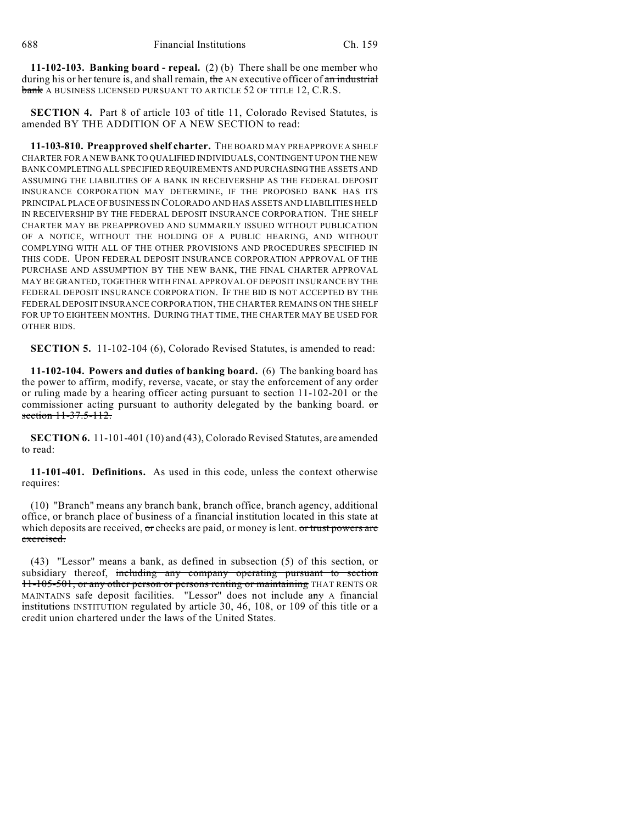**11-102-103. Banking board - repeal.** (2) (b) There shall be one member who during his or her tenure is, and shall remain, the AN executive officer of an industrial bank A BUSINESS LICENSED PURSUANT TO ARTICLE 52 OF TITLE 12, C.R.S.

**SECTION 4.** Part 8 of article 103 of title 11, Colorado Revised Statutes, is amended BY THE ADDITION OF A NEW SECTION to read:

**11-103-810. Preapproved shelf charter.** THE BOARD MAY PREAPPROVE A SHELF CHARTER FOR A NEW BANK TO QUALIFIED INDIVIDUALS, CONTINGENT UPON THE NEW BANK COMPLETING ALL SPECIFIED REQUIREMENTS AND PURCHASING THE ASSETS AND ASSUMING THE LIABILITIES OF A BANK IN RECEIVERSHIP AS THE FEDERAL DEPOSIT INSURANCE CORPORATION MAY DETERMINE, IF THE PROPOSED BANK HAS ITS PRINCIPAL PLACE OF BUSINESS IN COLORADO AND HAS ASSETS AND LIABILITIES HELD IN RECEIVERSHIP BY THE FEDERAL DEPOSIT INSURANCE CORPORATION. THE SHELF CHARTER MAY BE PREAPPROVED AND SUMMARILY ISSUED WITHOUT PUBLICATION OF A NOTICE, WITHOUT THE HOLDING OF A PUBLIC HEARING, AND WITHOUT COMPLYING WITH ALL OF THE OTHER PROVISIONS AND PROCEDURES SPECIFIED IN THIS CODE. UPON FEDERAL DEPOSIT INSURANCE CORPORATION APPROVAL OF THE PURCHASE AND ASSUMPTION BY THE NEW BANK, THE FINAL CHARTER APPROVAL MAY BE GRANTED, TOGETHER WITH FINAL APPROVAL OF DEPOSIT INSURANCE BY THE FEDERAL DEPOSIT INSURANCE CORPORATION. IF THE BID IS NOT ACCEPTED BY THE FEDERAL DEPOSIT INSURANCE CORPORATION, THE CHARTER REMAINS ON THE SHELF FOR UP TO EIGHTEEN MONTHS. DURING THAT TIME, THE CHARTER MAY BE USED FOR OTHER BIDS.

**SECTION 5.** 11-102-104 (6), Colorado Revised Statutes, is amended to read:

**11-102-104. Powers and duties of banking board.** (6) The banking board has the power to affirm, modify, reverse, vacate, or stay the enforcement of any order or ruling made by a hearing officer acting pursuant to section 11-102-201 or the commissioner acting pursuant to authority delegated by the banking board.  $\sigma$ section 11-37.5-112.

**SECTION 6.** 11-101-401 (10) and (43), Colorado Revised Statutes, are amended to read:

**11-101-401. Definitions.** As used in this code, unless the context otherwise requires:

(10) "Branch" means any branch bank, branch office, branch agency, additional office, or branch place of business of a financial institution located in this state at which deposits are received, or checks are paid, or money is lent. or trust powers are exercised.

(43) "Lessor" means a bank, as defined in subsection (5) of this section, or subsidiary thereof, including any company operating pursuant to section 11-105-501, or any other person or persons renting or maintaining THAT RENTS OR MAINTAINS safe deposit facilities. "Lessor" does not include any A financial institutions INSTITUTION regulated by article 30, 46, 108, or 109 of this title or a credit union chartered under the laws of the United States.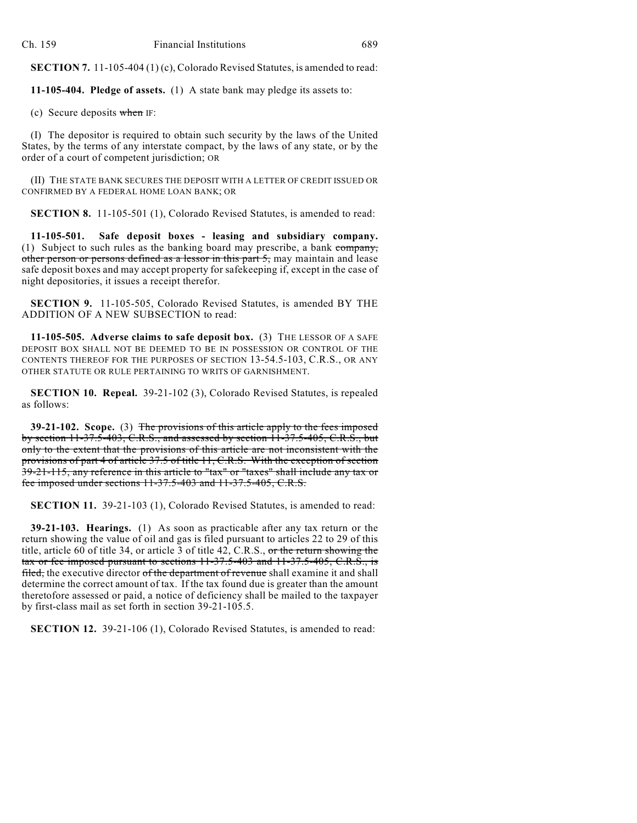**SECTION 7.** 11-105-404 (1) (c), Colorado Revised Statutes, is amended to read:

**11-105-404. Pledge of assets.** (1) A state bank may pledge its assets to:

(c) Secure deposits when IF:

(I) The depositor is required to obtain such security by the laws of the United States, by the terms of any interstate compact, by the laws of any state, or by the order of a court of competent jurisdiction; OR

(II) THE STATE BANK SECURES THE DEPOSIT WITH A LETTER OF CREDIT ISSUED OR CONFIRMED BY A FEDERAL HOME LOAN BANK; OR

**SECTION 8.** 11-105-501 (1), Colorado Revised Statutes, is amended to read:

**11-105-501. Safe deposit boxes - leasing and subsidiary company.** (1) Subject to such rules as the banking board may prescribe, a bank company, other person or persons defined as a lessor in this part 5, may maintain and lease safe deposit boxes and may accept property for safekeeping if, except in the case of night depositories, it issues a receipt therefor.

**SECTION 9.** 11-105-505, Colorado Revised Statutes, is amended BY THE ADDITION OF A NEW SUBSECTION to read:

**11-105-505. Adverse claims to safe deposit box.** (3) THE LESSOR OF A SAFE DEPOSIT BOX SHALL NOT BE DEEMED TO BE IN POSSESSION OR CONTROL OF THE CONTENTS THEREOF FOR THE PURPOSES OF SECTION 13-54.5-103, C.R.S., OR ANY OTHER STATUTE OR RULE PERTAINING TO WRITS OF GARNISHMENT.

**SECTION 10. Repeal.** 39-21-102 (3), Colorado Revised Statutes, is repealed as follows:

**39-21-102. Scope.** (3) The provisions of this article apply to the fees imposed by section 11-37.5-403, C.R.S., and assessed by section 11-37.5-405, C.R.S., but only to the extent that the provisions of this article are not inconsistent with the provisions of part 4 of article 37.5 of title 11, C.R.S. With the exception of section 39-21-115, any reference in this article to "tax" or "taxes" shall include any tax or fee imposed under sections 11-37.5-403 and 11-37.5-405, C.R.S.

**SECTION 11.** 39-21-103 (1), Colorado Revised Statutes, is amended to read:

**39-21-103. Hearings.** (1) As soon as practicable after any tax return or the return showing the value of oil and gas is filed pursuant to articles 22 to 29 of this title, article 60 of title 34, or article 3 of title 42, C.R.S., or the return showing the tax or fee imposed pursuant to sections  $11-37.5-403$  and  $11-37.5-405$ , C.R.S., is filed, the executive director of the department of revenue shall examine it and shall determine the correct amount of tax. If the tax found due is greater than the amount theretofore assessed or paid, a notice of deficiency shall be mailed to the taxpayer by first-class mail as set forth in section 39-21-105.5.

**SECTION 12.** 39-21-106 (1), Colorado Revised Statutes, is amended to read: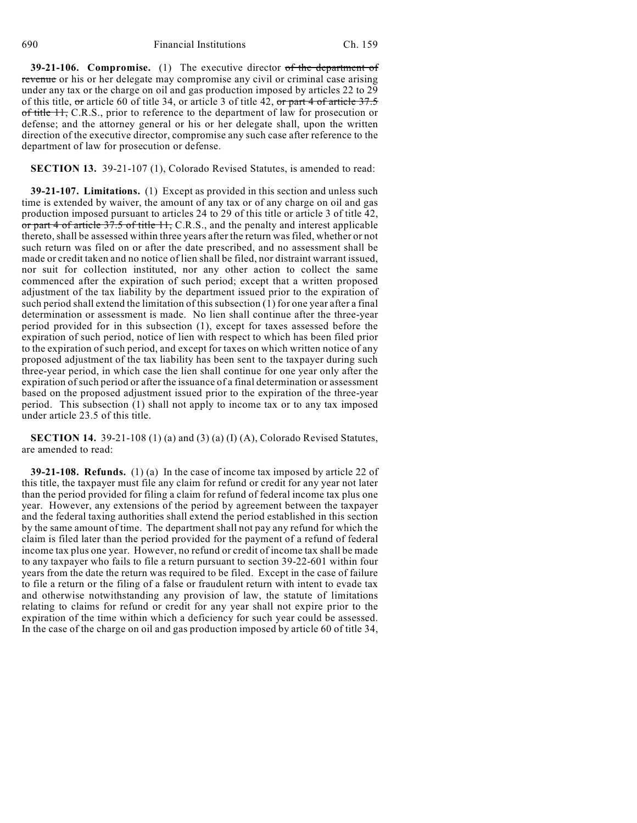690 Financial Institutions Ch. 159

**39-21-106. Compromise.** (1) The executive director of the department of revenue or his or her delegate may compromise any civil or criminal case arising under any tax or the charge on oil and gas production imposed by articles 22 to 29 of this title, or article 60 of title 34, or article 3 of title 42, or part 4 of article 37.5 of title 11, C.R.S., prior to reference to the department of law for prosecution or defense; and the attorney general or his or her delegate shall, upon the written direction of the executive director, compromise any such case after reference to the department of law for prosecution or defense.

**SECTION 13.** 39-21-107 (1), Colorado Revised Statutes, is amended to read:

**39-21-107. Limitations.** (1) Except as provided in this section and unless such time is extended by waiver, the amount of any tax or of any charge on oil and gas production imposed pursuant to articles 24 to 29 of this title or article 3 of title 42, or part 4 of article 37.5 of title 11, C.R.S., and the penalty and interest applicable thereto, shall be assessed within three years after the return was filed, whether or not such return was filed on or after the date prescribed, and no assessment shall be made or credit taken and no notice of lien shall be filed, nor distraint warrant issued, nor suit for collection instituted, nor any other action to collect the same commenced after the expiration of such period; except that a written proposed adjustment of the tax liability by the department issued prior to the expiration of such period shall extend the limitation of this subsection (1) for one year after a final determination or assessment is made. No lien shall continue after the three-year period provided for in this subsection (1), except for taxes assessed before the expiration of such period, notice of lien with respect to which has been filed prior to the expiration of such period, and except for taxes on which written notice of any proposed adjustment of the tax liability has been sent to the taxpayer during such three-year period, in which case the lien shall continue for one year only after the expiration of such period or after the issuance of a final determination or assessment based on the proposed adjustment issued prior to the expiration of the three-year period. This subsection (1) shall not apply to income tax or to any tax imposed under article 23.5 of this title.

**SECTION 14.** 39-21-108 (1) (a) and (3) (a) (I) (A), Colorado Revised Statutes, are amended to read:

**39-21-108. Refunds.** (1) (a) In the case of income tax imposed by article 22 of this title, the taxpayer must file any claim for refund or credit for any year not later than the period provided for filing a claim for refund of federal income tax plus one year. However, any extensions of the period by agreement between the taxpayer and the federal taxing authorities shall extend the period established in this section by the same amount of time. The department shall not pay any refund for which the claim is filed later than the period provided for the payment of a refund of federal income tax plus one year. However, no refund or credit of income tax shall be made to any taxpayer who fails to file a return pursuant to section 39-22-601 within four years from the date the return was required to be filed. Except in the case of failure to file a return or the filing of a false or fraudulent return with intent to evade tax and otherwise notwithstanding any provision of law, the statute of limitations relating to claims for refund or credit for any year shall not expire prior to the expiration of the time within which a deficiency for such year could be assessed. In the case of the charge on oil and gas production imposed by article 60 of title 34,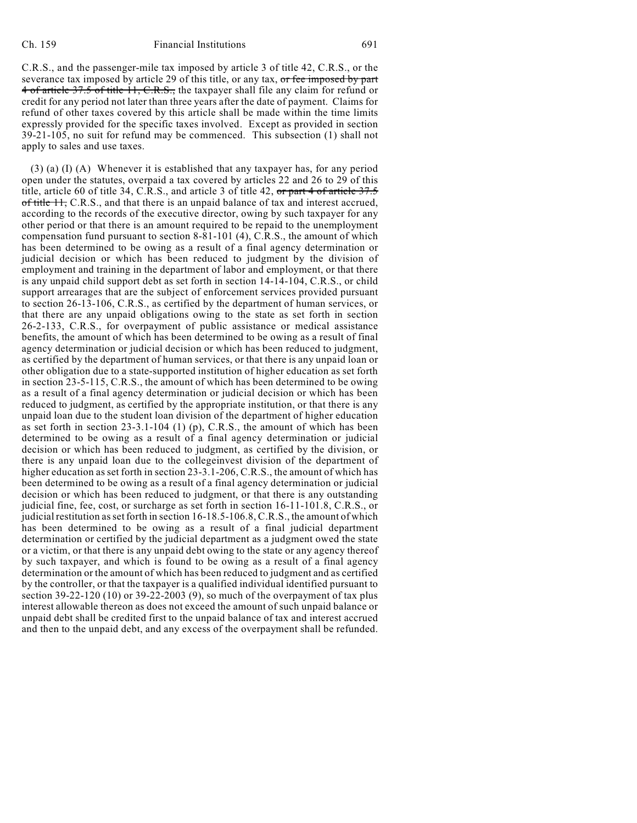C.R.S., and the passenger-mile tax imposed by article 3 of title 42, C.R.S., or the severance tax imposed by article 29 of this title, or any tax, or fee imposed by part 4 of article 37.5 of title 11, C.R.S., the taxpayer shall file any claim for refund or credit for any period not later than three years after the date of payment. Claims for refund of other taxes covered by this article shall be made within the time limits expressly provided for the specific taxes involved. Except as provided in section 39-21-105, no suit for refund may be commenced. This subsection (1) shall not apply to sales and use taxes.

(3) (a) (I) (A) Whenever it is established that any taxpayer has, for any period open under the statutes, overpaid a tax covered by articles 22 and 26 to 29 of this title, article 60 of title 34, C.R.S., and article 3 of title 42,  $\sigma r$  part 4 of article 37.5 of title  $H$ , C.R.S., and that there is an unpaid balance of tax and interest accrued, according to the records of the executive director, owing by such taxpayer for any other period or that there is an amount required to be repaid to the unemployment compensation fund pursuant to section 8-81-101 (4), C.R.S., the amount of which has been determined to be owing as a result of a final agency determination or judicial decision or which has been reduced to judgment by the division of employment and training in the department of labor and employment, or that there is any unpaid child support debt as set forth in section 14-14-104, C.R.S., or child support arrearages that are the subject of enforcement services provided pursuant to section 26-13-106, C.R.S., as certified by the department of human services, or that there are any unpaid obligations owing to the state as set forth in section 26-2-133, C.R.S., for overpayment of public assistance or medical assistance benefits, the amount of which has been determined to be owing as a result of final agency determination or judicial decision or which has been reduced to judgment, as certified by the department of human services, or that there is any unpaid loan or other obligation due to a state-supported institution of higher education as set forth in section 23-5-115, C.R.S., the amount of which has been determined to be owing as a result of a final agency determination or judicial decision or which has been reduced to judgment, as certified by the appropriate institution, or that there is any unpaid loan due to the student loan division of the department of higher education as set forth in section 23-3.1-104 (1) (p), C.R.S., the amount of which has been determined to be owing as a result of a final agency determination or judicial decision or which has been reduced to judgment, as certified by the division, or there is any unpaid loan due to the collegeinvest division of the department of higher education as set forth in section 23-3.1-206, C.R.S., the amount of which has been determined to be owing as a result of a final agency determination or judicial decision or which has been reduced to judgment, or that there is any outstanding judicial fine, fee, cost, or surcharge as set forth in section 16-11-101.8, C.R.S., or judicial restitution as set forth in section 16-18.5-106.8, C.R.S., the amount of which has been determined to be owing as a result of a final judicial department determination or certified by the judicial department as a judgment owed the state or a victim, or that there is any unpaid debt owing to the state or any agency thereof by such taxpayer, and which is found to be owing as a result of a final agency determination or the amount of which has been reduced to judgment and as certified by the controller, or that the taxpayer is a qualified individual identified pursuant to section 39-22-120 (10) or 39-22-2003 (9), so much of the overpayment of tax plus interest allowable thereon as does not exceed the amount of such unpaid balance or unpaid debt shall be credited first to the unpaid balance of tax and interest accrued and then to the unpaid debt, and any excess of the overpayment shall be refunded.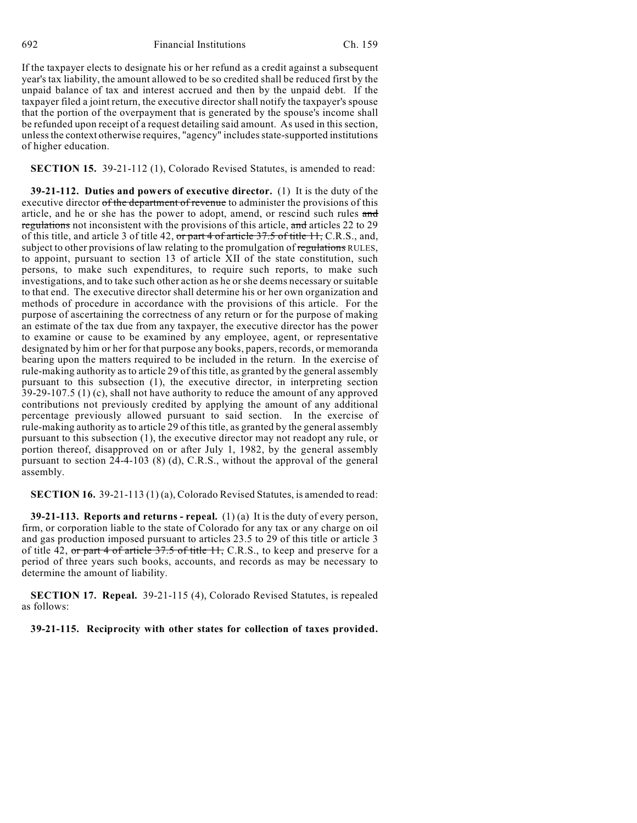692 Financial Institutions Ch. 159

If the taxpayer elects to designate his or her refund as a credit against a subsequent year's tax liability, the amount allowed to be so credited shall be reduced first by the unpaid balance of tax and interest accrued and then by the unpaid debt. If the taxpayer filed a joint return, the executive director shall notify the taxpayer's spouse that the portion of the overpayment that is generated by the spouse's income shall be refunded upon receipt of a request detailing said amount. As used in this section, unless the context otherwise requires, "agency" includes state-supported institutions of higher education.

**SECTION 15.** 39-21-112 (1), Colorado Revised Statutes, is amended to read:

**39-21-112. Duties and powers of executive director.** (1) It is the duty of the executive director of the department of revenue to administer the provisions of this article, and he or she has the power to adopt, amend, or rescind such rules and regulations not inconsistent with the provisions of this article, and articles 22 to 29 of this title, and article 3 of title 42, or part 4 of article 37.5 of title 11, C.R.S., and, subject to other provisions of law relating to the promulgation of regulations RULES, to appoint, pursuant to section 13 of article XII of the state constitution, such persons, to make such expenditures, to require such reports, to make such investigations, and to take such other action as he or she deems necessary or suitable to that end. The executive director shall determine his or her own organization and methods of procedure in accordance with the provisions of this article. For the purpose of ascertaining the correctness of any return or for the purpose of making an estimate of the tax due from any taxpayer, the executive director has the power to examine or cause to be examined by any employee, agent, or representative designated by him or her for that purpose any books, papers, records, or memoranda bearing upon the matters required to be included in the return. In the exercise of rule-making authority as to article 29 of this title, as granted by the general assembly pursuant to this subsection (1), the executive director, in interpreting section 39-29-107.5 (1) (c), shall not have authority to reduce the amount of any approved contributions not previously credited by applying the amount of any additional percentage previously allowed pursuant to said section. In the exercise of rule-making authority as to article 29 of this title, as granted by the general assembly pursuant to this subsection (1), the executive director may not readopt any rule, or portion thereof, disapproved on or after July 1, 1982, by the general assembly pursuant to section 24-4-103 (8) (d), C.R.S., without the approval of the general assembly.

**SECTION 16.** 39-21-113 (1) (a), Colorado Revised Statutes, is amended to read:

**39-21-113. Reports and returns - repeal.** (1) (a) It is the duty of every person, firm, or corporation liable to the state of Colorado for any tax or any charge on oil and gas production imposed pursuant to articles 23.5 to 29 of this title or article 3 of title 42, or part 4 of article  $37.5$  of title  $11$ , C.R.S., to keep and preserve for a period of three years such books, accounts, and records as may be necessary to determine the amount of liability.

**SECTION 17. Repeal.** 39-21-115 (4), Colorado Revised Statutes, is repealed as follows:

**39-21-115. Reciprocity with other states for collection of taxes provided.**